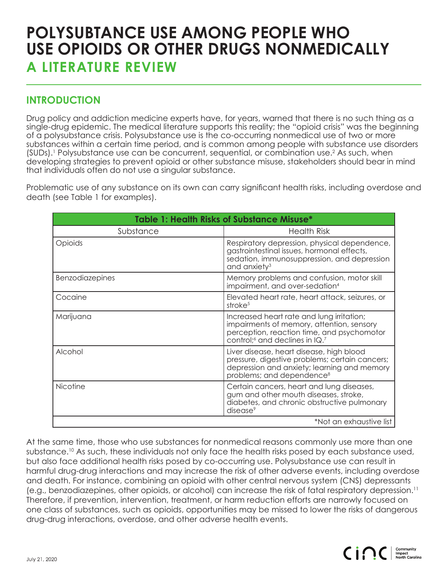## **POLYSUBTANCE USE AMONG PEOPLE WHO USE OPIOIDS OR OTHER DRUGS NONMEDICALLY A LITERATURE REVIEW**

## **INTRODUCTION**

Drug policy and addiction medicine experts have, for years, warned that there is no such thing as a single-drug epidemic. The medical literature supports this reality; the "opioid crisis" was the beginning of a polysubstance crisis. Polysubstance use is the co-occurring nonmedical use of two or more substances within a certain time period, and is common among people with substance use disorders (SUDs).<sup>1</sup> Polysubstance use can be concurrent, sequential, or combination use.<sup>2</sup> As such, when developing strategies to prevent opioid or other substance misuse, stakeholders should bear in mind that individuals often do not use a singular substance.

Problematic use of any substance on its own can carry significant health risks, including overdose and death (see Table 1 for examples).

| <b>Table 1: Health Risks of Substance Misuse*</b> |                                                                                                                                                                                    |
|---------------------------------------------------|------------------------------------------------------------------------------------------------------------------------------------------------------------------------------------|
| Substance                                         | <b>Health Risk</b>                                                                                                                                                                 |
| Opioids                                           | Respiratory depression, physical dependence,<br>gastrointestinal issues, hormonal effects,<br>sedation, immunosuppression, and depression<br>and anxiety <sup>3</sup>              |
| Benzodiazepines                                   | Memory problems and confusion, motor skill<br>impairment, and over-sedation <sup>4</sup>                                                                                           |
| Cocaine                                           | Elevated heart rate, heart attack, seizures, or<br>stroke <sup>5</sup>                                                                                                             |
| Marijuana                                         | Increased heart rate and lung irritation;<br>impairments of memory, attention, sensory<br>perception, reaction time, and psychomotor<br>control; <sup>6</sup> and declines in IQ.7 |
| Alcohol                                           | Liver disease, heart disease, high blood<br>pressure, digestive problems; certain cancers;<br>depression and anxiety; learning and memory<br>problems; and dependence <sup>8</sup> |
| <b>Nicotine</b>                                   | Certain cancers, heart and lung diseases,<br>gum and other mouth diseases, stroke,<br>diabetes, and chronic obstructive pulmonary<br>disease <sup>9</sup>                          |
| *Not an exhaustive list                           |                                                                                                                                                                                    |

At the same time, those who use substances for nonmedical reasons commonly use more than one substance.10 As such, these individuals not only face the health risks posed by each substance used, but also face additional health risks posed by co-occurring use. Polysubstance use can result in harmful drug-drug interactions and may increase the risk of other adverse events, including overdose and death. For instance, combining an opioid with other central nervous system (CNS) depressants (e.g., benzodiazepines, other opioids, or alcohol) can increase the risk of fatal respiratory depression.11 Therefore, if prevention, intervention, treatment, or harm reduction efforts are narrowly focused on one class of substances, such as opioids, opportunities may be missed to lower the risks of dangerous drug-drug interactions, overdose, and other adverse health events.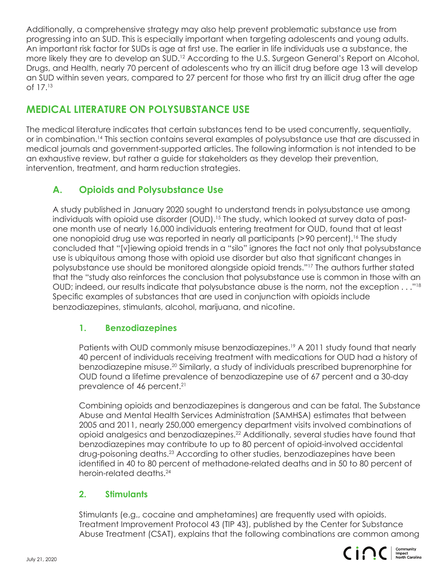Additionally, a comprehensive strategy may also help prevent problematic substance use from progressing into an SUD. This is especially important when targeting adolescents and young adults. An important risk factor for SUDs is age at first use. The earlier in life individuals use a substance, the more likely they are to develop an SUD.<sup>12</sup> According to the U.S. Surgeon General's Report on Alcohol, Drugs, and Health, nearly 70 percent of adolescents who try an illicit drug before age 13 will develop an SUD within seven years, compared to 27 percent for those who first try an illicit drug after the age of 17.13

## **MEDICAL LITERATURE ON POLYSUBSTANCE USE**

The medical literature indicates that certain substances tend to be used concurrently, sequentially, or in combination.14 This section contains several examples of polysubstance use that are discussed in medical journals and government-supported articles. The following information is not intended to be an exhaustive review, but rather a guide for stakeholders as they develop their prevention, intervention, treatment, and harm reduction strategies.

## **A. Opioids and Polysubstance Use**

A study published in January 2020 sought to understand trends in polysubstance use among individuals with opioid use disorder (OUD).<sup>15</sup> The study, which looked at survey data of pastone month use of nearly 16,000 individuals entering treatment for OUD, found that at least one nonopioid drug use was reported in nearly all participants (>90 percent).16 The study concluded that "[v]iewing opioid trends in a "silo" ignores the fact not only that polysubstance use is ubiquitous among those with opioid use disorder but also that significant changes in polysubstance use should be monitored alongside opioid trends."17 The authors further stated that the "study also reinforces the conclusion that polysubstance use is common in those with an OUD; indeed, our results indicate that polysubstance abuse is the norm, not the exception . . ."18 Specific examples of substances that are used in conjunction with opioids include benzodiazepines, stimulants, alcohol, marijuana, and nicotine.

#### **1. Benzodiazepines**

Patients with OUD commonly misuse benzodiazepines.<sup>19</sup> A 2011 study found that nearly 40 percent of individuals receiving treatment with medications for OUD had a history of benzodiazepine misuse.20 Similarly, a study of individuals prescribed buprenorphine for OUD found a lifetime prevalence of benzodiazepine use of 67 percent and a 30-day prevalence of 46 percent.<sup>21</sup>

 Combining opioids and benzodiazepines is dangerous and can be fatal. The Substance Abuse and Mental Health Services Administration (SAMHSA) estimates that between 2005 and 2011, nearly 250,000 emergency department visits involved combinations of opioid analgesics and benzodiazepines.22 Additionally, several studies have found that benzodiazepines may contribute to up to 80 percent of opioid-involved accidental drug-poisoning deaths.<sup>23</sup> According to other studies, benzodiazepines have been identified in 40 to 80 percent of methadone-related deaths and in 50 to 80 percent of heroin-related deaths.24

#### **2. Stimulants**

 Stimulants (e.g., cocaine and amphetamines) are frequently used with opioids. Treatment Improvement Protocol 43 (TIP 43), published by the Center for Substance Abuse Treatment (CSAT), explains that the following combinations are common among

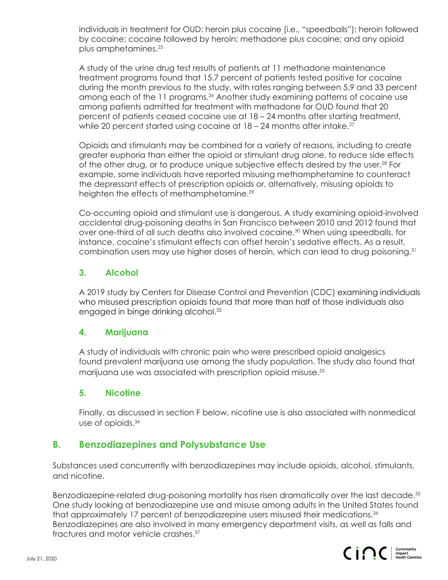individuals in treatment for OUD: heroin plus cocaine (i.e., "speedballs"); heroin followed by cocaine; cocaine followed by heroin; methadone plus cocaine; and any opioid plus amphetamines.25

 A study of the urine drug test results of patients at 11 methadone maintenance treatment programs found that 15.7 percent of patients tested positive for cocaine during the month previous to the study, with rates ranging between 5.9 and 33 percent among each of the 11 programs.<sup>26</sup> Another study examining patterns of cocaine use among patients admitted for treatment with methadone for OUD found that 20 percent of patients ceased cocaine use at 18 – 24 months after starting treatment, while 20 percent started using cocaine at  $18 - 24$  months after intake.<sup>27</sup>

 Opioids and stimulants may be combined for a variety of reasons, including to create greater euphoria than either the opioid or stimulant drug alone, to reduce side effects of the other drug, or to produce unique subjective effects desired by the user.<sup>28</sup> For example, some individuals have reported misusing methamphetamine to counteract the depressant effects of prescription opioids or, alternatively, misusing opioids to heighten the effects of methamphetamine.<sup>29</sup>

 Co-occurring opioid and stimulant use is dangerous. A study examining opioid-involved accidental drug-poisoning deaths in San Francisco between 2010 and 2012 found that over one-third of all such deaths also involved cocaine.<sup>30</sup> When using speedballs, for instance, cocaine's stimulant effects can offset heroin's sedative effects. As a result, combination users may use higher doses of heroin, which can lead to drug poisoning.31

#### **3. Alcohol**

 A 2019 study by Centers for Disease Control and Prevention (CDC) examining individuals who misused prescription opioids found that more than half of those individuals also engaged in binge drinking alcohol.<sup>32</sup>

#### **4. Marijuana**

 A study of individuals with chronic pain who were prescribed opioid analgesics found prevalent marijuana use among the study population. The study also found that marijuana use was associated with prescription opioid misuse.<sup>33</sup>

#### **5. Nicotine**

 Finally, as discussed in section F below, nicotine use is also associated with nonmedical use of opioids.34

## **B. Benzodiazepines and Polysubstance Use**

Substances used concurrently with benzodiazepines may include opioids, alcohol, stimulants, and nicotine.

Benzodiazepine-related drug-poisoning mortality has risen dramatically over the last decade.<sup>35</sup> One study looking at benzodiazepine use and misuse among adults in the United States found that approximately 17 percent of benzodiazepine users misused their medications.36 Benzodiazepines are also involved in many emergency department visits, as well as falls and fractures and motor vehicle crashes.37

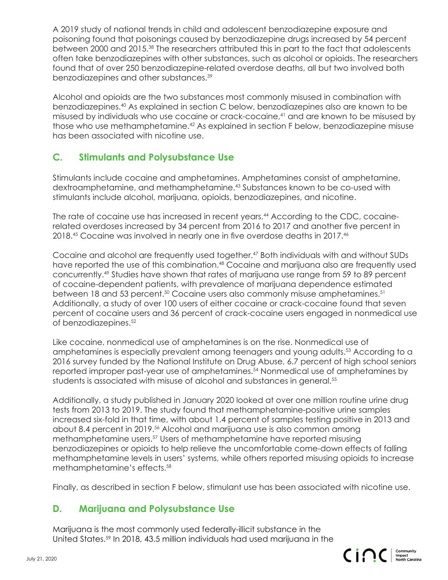A 2019 study of national trends in child and adolescent benzodiazepine exposure and poisoning found that poisonings caused by benzodiazepine drugs increased by 54 percent between 2000 and 2015.38 The researchers attributed this in part to the fact that adolescents often take benzodiazepines with other substances, such as alcohol or opioids. The researchers found that of over 250 benzodiazepine-related overdose deaths, all but two involved both benzodiazepines and other substances.39

Alcohol and opioids are the two substances most commonly misused in combination with benzodiazepines.40 As explained in section C below, benzodiazepines also are known to be misused by individuals who use cocaine or crack-cocaine,<sup>41</sup> and are known to be misused by those who use methamphetamine.<sup>42</sup> As explained in section F below, benzodiazepine misuse has been associated with nicotine use.

#### **C. Stimulants and Polysubstance Use**

Stimulants include cocaine and amphetamines. Amphetamines consist of amphetamine, dextroamphetamine, and methamphetamine.43 Substances known to be co-used with stimulants include alcohol, marijuana, opioids, benzodiazepines, and nicotine.

The rate of cocaine use has increased in recent years.<sup>44</sup> According to the CDC, cocainerelated overdoses increased by 34 percent from 2016 to 2017 and another five percent in 2018.45 Cocaine was involved in nearly one in five overdose deaths in 2017.<sup>46</sup>

Cocaine and alcohol are frequently used together.47 Both individuals with and without SUDs have reported the use of this combination.48 Cocaine and marijuana also are frequently used concurrently.49 Studies have shown that rates of marijuana use range from 59 to 89 percent of cocaine-dependent patients, with prevalence of marijuana dependence estimated between 18 and 53 percent.<sup>50</sup> Cocaine users also commonly misuse amphetamines.<sup>51</sup> Additionally, a study of over 100 users of either cocaine or crack-cocaine found that seven percent of cocaine users and 36 percent of crack-cocaine users engaged in nonmedical use of benzodiazepines.<sup>52</sup>

Like cocaine, nonmedical use of amphetamines is on the rise. Nonmedical use of amphetamines is especially prevalent among teenagers and young adults.53 According to a 2016 survey funded by the National Institute on Drug Abuse, 6.7 percent of high school seniors reported improper past-year use of amphetamines.54 Nonmedical use of amphetamines by students is associated with misuse of alcohol and substances in general.55

Additionally, a study published in January 2020 looked at over one million routine urine drug tests from 2013 to 2019. The study found that methamphetamine-positive urine samples increased six-fold in that time, with about 1.4 percent of samples testing positive in 2013 and about 8.4 percent in 2019.<sup>56</sup> Alcohol and marijuana use is also common among methamphetamine users.<sup>57</sup> Users of methamphetamine have reported misusing benzodiazepines or opioids to help relieve the uncomfortable come-down effects of falling methamphetamine levels in users' systems, while others reported misusing opioids to increase methamphetamine's effects.58

Finally, as described in section F below, stimulant use has been associated with nicotine use.

#### **D. Marijuana and Polysubstance Use**

Marijuana is the most commonly used federally-illicit substance in the United States.59 In 2018, 43.5 million individuals had used marijuana in the

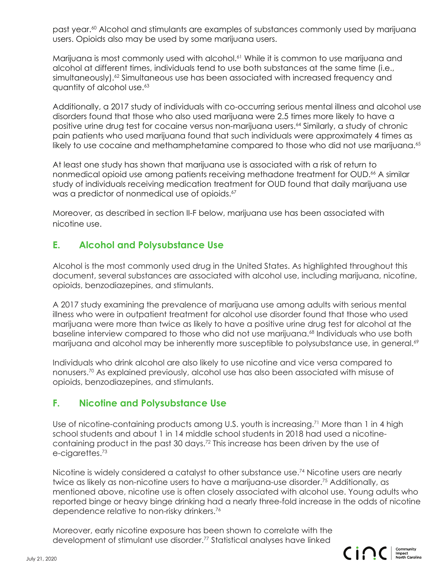past year.60 Alcohol and stimulants are examples of substances commonly used by marijuana users. Opioids also may be used by some marijuana users.

Marijuana is most commonly used with alcohol.<sup>61</sup> While it is common to use marijuana and alcohol at different times, individuals tend to use both substances at the same time (i.e., simultaneously).<sup>62</sup> Simultaneous use has been associated with increased frequency and quantity of alcohol use.<sup>63</sup>

Additionally, a 2017 study of individuals with co-occurring serious mental illness and alcohol use disorders found that those who also used marijuana were 2.5 times more likely to have a positive urine drug test for cocaine versus non-marijuana users.64 Similarly, a study of chronic pain patients who used marijuana found that such individuals were approximately 4 times as likely to use cocaine and methamphetamine compared to those who did not use marijuana.<sup>65</sup>

At least one study has shown that marijuana use is associated with a risk of return to nonmedical opioid use among patients receiving methadone treatment for OUD.<sup>66</sup> A similar study of individuals receiving medication treatment for OUD found that daily marijuana use was a predictor of nonmedical use of opioids.<sup>67</sup>

Moreover, as described in section II-F below, marijuana use has been associated with nicotine use.

## **E. Alcohol and Polysubstance Use**

Alcohol is the most commonly used drug in the United States. As highlighted throughout this document, several substances are associated with alcohol use, including marijuana, nicotine, opioids, benzodiazepines, and stimulants.

A 2017 study examining the prevalence of marijuana use among adults with serious mental illness who were in outpatient treatment for alcohol use disorder found that those who used marijuana were more than twice as likely to have a positive urine drug test for alcohol at the baseline interview compared to those who did not use marijuana.<sup>68</sup> Individuals who use both marijuana and alcohol may be inherently more susceptible to polysubstance use, in general.<sup>69</sup>

Individuals who drink alcohol are also likely to use nicotine and vice versa compared to nonusers.70 As explained previously, alcohol use has also been associated with misuse of opioids, benzodiazepines, and stimulants.

## **F. Nicotine and Polysubstance Use**

Use of nicotine-containing products among U.S. youth is increasing.<sup>71</sup> More than 1 in 4 high school students and about 1 in 14 middle school students in 2018 had used a nicotinecontaining product in the past 30 days.72 This increase has been driven by the use of e-cigarettes.73

Nicotine is widely considered a catalyst to other substance use.74 Nicotine users are nearly twice as likely as non-nicotine users to have a marijuana-use disorder.75 Additionally, as mentioned above, nicotine use is often closely associated with alcohol use. Young adults who reported binge or heavy binge drinking had a nearly three-fold increase in the odds of nicotine dependence relative to non-risky drinkers.76

Moreover, early nicotine exposure has been shown to correlate with the development of stimulant use disorder.<sup>77</sup> Statistical analyses have linked

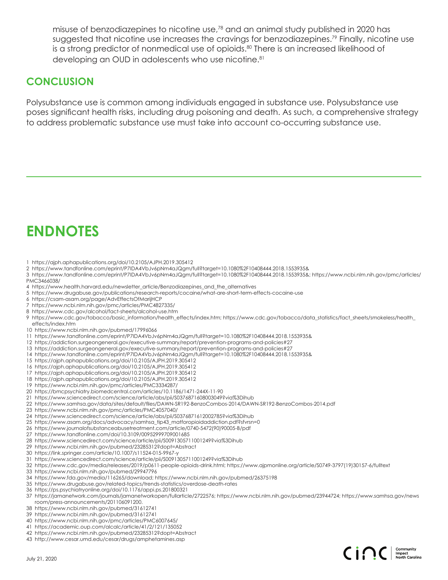misuse of benzodiazepines to nicotine use,78 and an animal study published in 2020 has suggested that nicotine use increases the cravings for benzodiazepines.<sup>79</sup> Finally, nicotine use is a strong predictor of nonmedical use of opioids.<sup>80</sup> There is an increased likelihood of developing an OUD in adolescents who use nicotine.<sup>81</sup>

## **CONCLUSION**

Polysubstance use is common among individuals engaged in substance use. Polysubstance use poses significant health risks, including drug poisoning and death. As such, a comprehensive strategy to address problematic substance use must take into account co-occurring substance use.

# **ENDNOTES**

- 1 https://ajph.aphapublications.org/doi/10.2105/AJPH.2019.305412
- 2 https://www.tandfonline.com/eprint/P7IDA4VbJv6pNm4aJQgm/full?target=10.1080%2F10408444.2018.1553935&
- 3 https://www.tandfonline.com/eprint/P7IDA4VbJv6pNm4aJQgm/full?target=10.1080%2F10408444.2018.1553935&; https://www.ncbi.nlm.nih.gov/pmc/articles/ PMC3466038/
- 4 https://www.health.harvard.edu/newsletter\_article/Benzodiazepines\_and\_the\_alternatives
- 5 https://www.drugabuse.gov/publications/research-reports/cocaine/what-are-short-term-effects-cocaine-use
- 6 https://csam-asam.org/page/AdvEffectsOfMarijHCP
- 7 https://www.ncbi.nlm.nih.gov/pmc/articles/PMC4827335/
- 8 https://www.cdc.gov/alcohol/fact-sheets/alcohol-use.htm
- 9 https://www.cdc.gov/tobacco/basic\_information/health\_effects/index.htm; https://www.cdc.gov/tobacco/data\_statistics/fact\_sheets/smokeless/health\_ effects/index.htm
- 10 https://www.ncbi.nlm.nih.gov/pubmed/17996066
- 11 https://www.tandfonline.com/eprint/P7IDA4VbJv6pNm4aJQgm/full?target=10.1080%2F10408444.2018.1553935&
- 12 https://addiction.surgeongeneral.gov/executive-summary/report/prevention-programs-and-policies#27
- 13 https://addiction.surgeongeneral.gov/executive-summary/report/prevention-programs-and-policies#27
- 14 https://www.tandfonline.com/eprint/P7IDA4VbJv6pNm4aJQgm/full?target=10.1080%2F10408444.2018.1553935&
- 15 https://ajph.aphapublications.org/doi/10.2105/AJPH.2019.305412
- 16 https://ajph.aphapublications.org/doi/10.2105/AJPH.2019.305412
- 17 https://ajph.aphapublications.org/doi/10.2105/AJPH.2019.305412
- 18 https://ajph.aphapublications.org/doi/10.2105/AJPH.2019.305412
- 19 https://www.ncbi.nlm.nih.gov/pmc/articles/PMC3334287/
- 
- 20 https://bmcpsychiatry.biomedcentral.com/articles/10.1186/1471-244X-11-90
- 21 https://www.sciencedirect.com/science/article/abs/pii/S0376871608003049?via%3Dihub
- 22 https://www.samhsa.gov/data/sites/default/files/DAWN-SR192-BenzoCombos-2014/DAWN-SR192-BenzoCombos-2014.pdf
- 23 https://www.ncbi.nlm.nih.gov/pmc/articles/PMC4057040/
- 24 https://www.sciencedirect.com/science/article/abs/pii/S0376871612002785?via%3Dihub
- 25 https://www.asam.org/docs/advocacy/samhsa\_tip43\_matforopioidaddiction.pdf?sfvrsn=0
- 26 https://www.journalofsubstanceabusetreatment.com/article/0740-5472(90)90005-B/pdf
- 27 https://www.tandfonline.com/doi/10.3109/00952999709001685
- 28 https://www.sciencedirect.com/science/article/pii/S0091305711001249?via%3Dihub
- 29 https://www.ncbi.nlm.nih.gov/pubmed/23285312?dopt=Abstract
- 30 https://link.springer.com/article/10.1007/s11524-015-9967-y
- 31 https://www.sciencedirect.com/science/article/pii/S0091305711001249?via%3Dihub
- 32 https://www.cdc.gov/media/releases/2019/p0611-people-opioids-drink.html; https://www.ajpmonline.org/article/S0749-3797(19)30157-6/fulltext
- 33 https://www.ncbi.nlm.nih.gov/pubmed/29947796
- 34 https://www.fda.gov/media/116265/download; https://www.ncbi.nlm.nih.gov/pubmed/26375198
- 35 https://www.drugabuse.gov/related-topics/trends-statistics/overdose-death-rates
- 36 https://ps.psychiatryonline.org/doi/10.1176/appi.ps.201800321
- 37 https://jamanetwork.com/journals/jamanetworkopen/fullarticle/2722576; https://www.ncbi.nlm.nih.gov/pubmed/23944724; https://www.samhsa.gov/news room/press-announcements/201106091200.
- 38 https://www.ncbi.nlm.nih.gov/pubmed/31612741
- 39 https://www.ncbi.nlm.nih.gov/pubmed/31612741
- 40 https://www.ncbi.nlm.nih.gov/pmc/articles/PMC6007645/
- 41 https://academic.oup.com/alcalc/article/41/2/121/135052
- 42 https://www.ncbi.nlm.nih.gov/pubmed/23285312?dopt=Abstract
- 43 http://www.cesar.umd.edu/cesar/drugs/amphetamines.asp